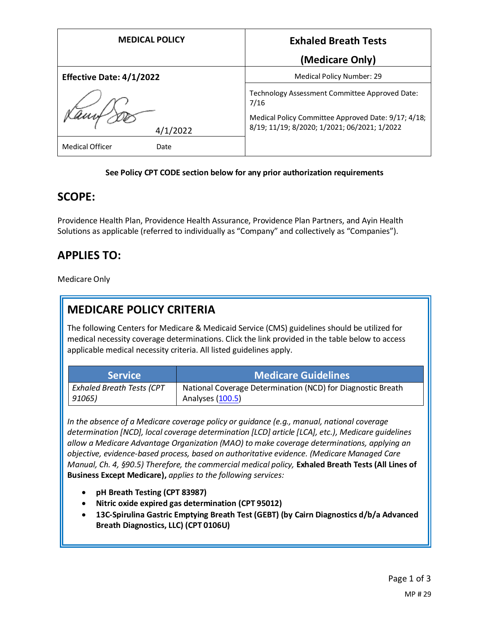| <b>MEDICAL POLICY</b>           | <b>Exhaled Breath Tests</b>                                                                         |
|---------------------------------|-----------------------------------------------------------------------------------------------------|
|                                 | (Medicare Only)                                                                                     |
| <b>Effective Date: 4/1/2022</b> | Medical Policy Number: 29                                                                           |
|                                 | Technology Assessment Committee Approved Date:<br>7/16                                              |
| 4/1/2022                        | Medical Policy Committee Approved Date: 9/17; 4/18;<br>8/19; 11/19; 8/2020; 1/2021; 06/2021; 1/2022 |
| Medical Officer<br>Date         |                                                                                                     |

#### **See Policy CPT CODE section below for any prior authorization requirements**

### **SCOPE:**

Providence Health Plan, Providence Health Assurance, Providence Plan Partners, and Ayin Health Solutions as applicable (referred to individually as "Company" and collectively as "Companies").

# **APPLIES TO:**

Medicare Only

## **MEDICARE POLICY CRITERIA**

The following Centers for Medicare & Medicaid Service (CMS) guidelines should be utilized for medical necessity coverage determinations. Click the link provided in the table below to access applicable medical necessity criteria. All listed guidelines apply.

| <b>Service</b>                   | Medicare Guidelines                                         |
|----------------------------------|-------------------------------------------------------------|
| <b>Exhaled Breath Tests (CPT</b> | National Coverage Determination (NCD) for Diagnostic Breath |
| 91065)                           | Analyses (100.5)                                            |

*In the absence of a Medicare coverage policy or guidance (e.g., manual, national coverage determination [NCD], local coverage determination [LCD] article [LCA], etc.), Medicare guidelines allow a Medicare Advantage Organization (MAO) to make coverage determinations, applying an objective, evidence-based process, based on authoritative evidence. (Medicare Managed Care Manual, Ch. 4, §90.5) Therefore, the commercial medical policy,* **Exhaled Breath Tests (All Lines of Business Except Medicare),** *applies to the following services:*

- **pH Breath Testing (CPT 83987)**
- **Nitric oxide expired gas determination (CPT 95012)**
- **13C-Spirulina Gastric Emptying Breath Test (GEBT) (by Cairn Diagnostics d/b/a Advanced Breath Diagnostics, LLC) (CPT 0106U)**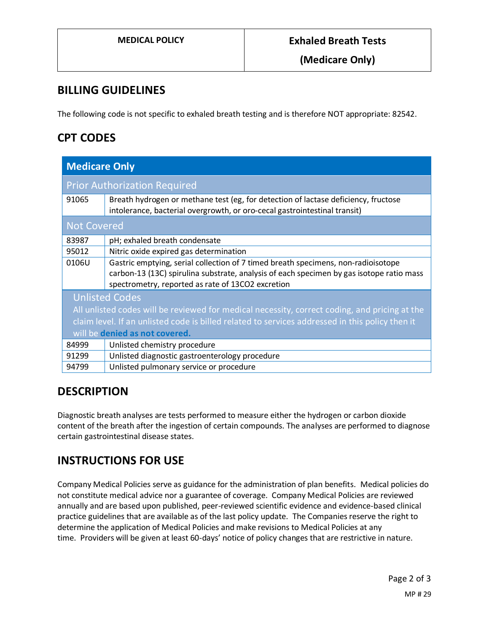**(Medicare Only)**

## **BILLING GUIDELINES**

The following code is not specific to exhaled breath testing and is therefore NOT appropriate: 82542.

### **CPT CODES**

| <b>Medicare Only</b>                                                                            |                                                                                                                                                                                                                                    |
|-------------------------------------------------------------------------------------------------|------------------------------------------------------------------------------------------------------------------------------------------------------------------------------------------------------------------------------------|
|                                                                                                 | <b>Prior Authorization Required</b>                                                                                                                                                                                                |
| 91065                                                                                           | Breath hydrogen or methane test (eg, for detection of lactase deficiency, fructose<br>intolerance, bacterial overgrowth, or oro-cecal gastrointestinal transit)                                                                    |
| <b>Not Covered</b>                                                                              |                                                                                                                                                                                                                                    |
| 83987                                                                                           | pH; exhaled breath condensate                                                                                                                                                                                                      |
| 95012                                                                                           | Nitric oxide expired gas determination                                                                                                                                                                                             |
| 0106U                                                                                           | Gastric emptying, serial collection of 7 timed breath specimens, non-radioisotope<br>carbon-13 (13C) spirulina substrate, analysis of each specimen by gas isotope ratio mass<br>spectrometry, reported as rate of 13CO2 excretion |
| <b>Unlisted Codes</b>                                                                           |                                                                                                                                                                                                                                    |
| All unlisted codes will be reviewed for medical necessity, correct coding, and pricing at the   |                                                                                                                                                                                                                                    |
| claim level. If an unlisted code is billed related to services addressed in this policy then it |                                                                                                                                                                                                                                    |
| will be denied as not covered.                                                                  |                                                                                                                                                                                                                                    |
| 84999                                                                                           | Unlisted chemistry procedure                                                                                                                                                                                                       |
| 91299                                                                                           | Unlisted diagnostic gastroenterology procedure                                                                                                                                                                                     |
| 94799                                                                                           | Unlisted pulmonary service or procedure                                                                                                                                                                                            |

# **DESCRIPTION**

Diagnostic breath analyses are tests performed to measure either the hydrogen or carbon dioxide content of the breath after the ingestion of certain compounds. The analyses are performed to diagnose certain gastrointestinal disease states.

## **INSTRUCTIONS FOR USE**

Company Medical Policies serve as guidance for the administration of plan benefits. Medical policies do not constitute medical advice nor a guarantee of coverage. Company Medical Policies are reviewed annually and are based upon published, peer-reviewed scientific evidence and evidence-based clinical practice guidelines that are available as of the last policy update. The Companies reserve the right to determine the application of Medical Policies and make revisions to Medical Policies at any time. Providers will be given at least 60-days' notice of policy changes that are restrictive in nature.